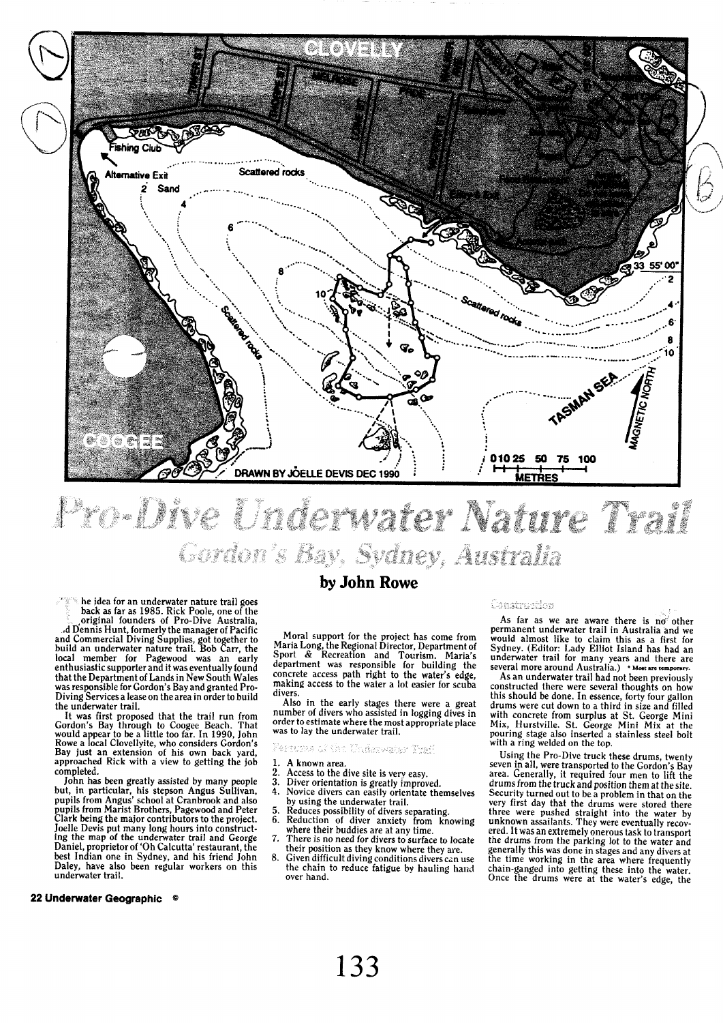

# $\widehat{\mathbb{C}}$  $\mathbf{\hat{y}}$ uiney,  $\mathbb{A}$  matrix  $\mathbb{I}^*$  $\therefore$  ... ...

 $\frac{1}{2}$  he idea for an underwater nature trail goes<br>back as far as 1985. Rick Poole, one of the

original founders of Pro-Dive Australia,<br>
.d Dennis Hunt, formerly the manager of Pacific<br>
and Commercial Diving Supplies, got together to<br>
build an underwater nature trail. Bob Carr, the local member for Pagewood was an early enthusiastic supporter and it was eventually found that the Department of Lands in New South Wales was responsible for Gordon's Bay and granted Pro-Diving Services a lease on the area in oider to build the underwater trail.

It was first proposed that the trail run from<br>Gordon's Bay through to Coogee Beach. That<br>would appear to be a little too far. In 1990, John<br>Rowe a local Clovellyite, who considers Gordon's Bay just an extension of his own back yard, approached Rick with a view to getting the job completed.

John has been greatly assisted by many people<br>but, in particular, his stepson Angus Sullivan,<br>pupils from Angus' school at Cranbrook and also<br>pupils from Marist Brothers, Pagewood and Peter<br>Clark being the major contributo Joelle Devis put many long hours into construct-ing the map of the underwater trail and George Daniel, proprietor of 'Oh Calcutta' restaurant, the<br>best Indian one in Sydney, and his friend John<br>Daley, have also been regular workers on this<br>underwater trail.

## 22 Underwater Geographic ©

## by John Rowe

Moral support for the project has come from<br>Maria Long the Regional Director Department of Maria Long, the Regional Director, Department of<br>Sport & Recreation and Tourism. Maria's<br>department was responsible for building the concrete access path right to the water's edge,<br>making access to the water a lot easier for scuba divers.

Also in the early stages there were a great number of divers who assisted in logging dives in order to estimate where the most appropriate place<br>was to lay the underwater trail.

## a of the Underwater Fre

- 
- 
- 
- $\frac{1}{2}$ .<br> $\frac{3}{4}$ . A known area. Acces to the dive site is very eas). Diver orientation is greatly improved. Novice divers can easily orieniate themselves by using the underwater trail.
- 5.
- 6. Reduces possibility of divers separatinq. Reduction of diver anxiety irom knowing where their buddies are at anv time.
- 7. There is no need for divers to surface to locate
- 8. their position as they know where they are.<br>Given difficult diving conditions divers can use<br>the chain to reduce fatigue by hauling hand over hand.

### u*ons*uracio

As far as we are aware there is no other<br>permanent underwater trail in Australia and we<br>would almost like to claim this as a first for<br>Sydney. (Editor: Lady Elliot Island has had am<br>underwater trail for many years and the

As an underwater trail had not been previously constructed there were several thoughts on how this should be done, In essence, forty four gallon drums were cut down to a third in size and filled with concrete from surplus at St. George Mini<br>Mix, Hurstville. St. George Mini Mix at the<br>pouring stage also inserted a stainless steel bolt<br>with a ring welded on the top.

Using the Pro-Dive truck these drums, twenty<br>seven in all, were transported to the Gordon's Bay<br>area. Generally, it required four men to lift the drums from the truck and position them at the site. Security turned out to be a problem in that on the very first day that the drums were stored there<br>three were pushed straight into the water by<br>unknown assailants. They were eventually recovered. It was an extremely onerous task to transport<br>the drums from the parking lot to the water and<br>generally this was done in stages and any divers at<br>the time working in the area where frequently chain-ganged into getting these into the'water. Once the drums were at the water's edge, the